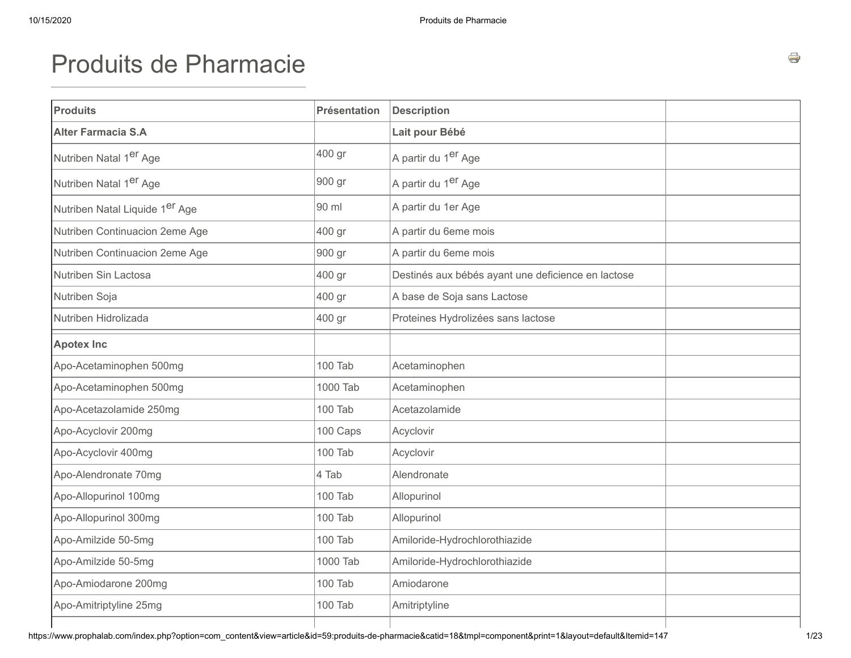# Produits de [Pharmacie](https://www.prophalab.com/index.php?option=com_content&view=article&id=59:produits-de-pharmacie&catid=18&Itemid=147)

| <b>Produits</b>                    | <b>Présentation</b> | <b>Description</b>                                 |  |
|------------------------------------|---------------------|----------------------------------------------------|--|
| <b>Alter Farmacia S.A</b>          |                     | Lait pour Bébé                                     |  |
| Nutriben Natal 1er Age             | 400 gr              | A partir du 1 <sup>er</sup> Age                    |  |
| Nutriben Natal 1 <sup>er</sup> Age | 900 gr              | A partir du 1er Age                                |  |
| Nutriben Natal Liquide 1er Age     | 90 ml               | A partir du 1er Age                                |  |
| Nutriben Continuacion 2eme Age     | 400 gr              | A partir du 6eme mois                              |  |
| Nutriben Continuacion 2eme Age     | 900 gr              | A partir du 6eme mois                              |  |
| Nutriben Sin Lactosa               | 400 gr              | Destinés aux bébés ayant une deficience en lactose |  |
| Nutriben Soja                      | 400 gr              | A base de Soja sans Lactose                        |  |
| Nutriben Hidrolizada               | 400 gr              | Proteines Hydrolizées sans lactose                 |  |
| <b>Apotex Inc</b>                  |                     |                                                    |  |
| Apo-Acetaminophen 500mg            | 100 Tab             | Acetaminophen                                      |  |
| Apo-Acetaminophen 500mg            | 1000 Tab            | Acetaminophen                                      |  |
| Apo-Acetazolamide 250mg            | 100 Tab             | Acetazolamide                                      |  |
| Apo-Acyclovir 200mg                | 100 Caps            | Acyclovir                                          |  |
| Apo-Acyclovir 400mg                | 100 Tab             | Acyclovir                                          |  |
| Apo-Alendronate 70mg               | 4 Tab               | Alendronate                                        |  |
| Apo-Allopurinol 100mg              | 100 Tab             | Allopurinol                                        |  |
| Apo-Allopurinol 300mg              | 100 Tab             | Allopurinol                                        |  |
| Apo-Amilzide 50-5mg                | <b>100 Tab</b>      | Amiloride-Hydrochlorothiazide                      |  |
| Apo-Amilzide 50-5mg                | 1000 Tab            | Amiloride-Hydrochlorothiazide                      |  |
| Apo-Amiodarone 200mg               | 100 Tab             | Amiodarone                                         |  |
| Apo-Amitriptyline 25mg             | 100 Tab             | Amitriptyline                                      |  |
|                                    |                     |                                                    |  |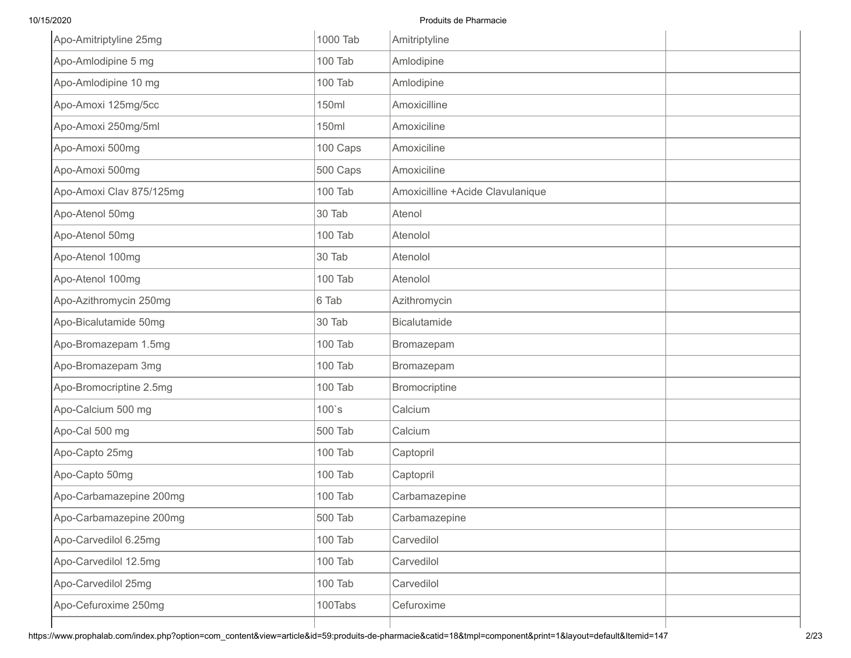| Apo-Amitriptyline 25mg   | 1000 Tab | Amitriptyline                    |  |
|--------------------------|----------|----------------------------------|--|
| Apo-Amlodipine 5 mg      | 100 Tab  | Amlodipine                       |  |
| Apo-Amlodipine 10 mg     | 100 Tab  | Amlodipine                       |  |
| Apo-Amoxi 125mg/5cc      | 150ml    | Amoxicilline                     |  |
| Apo-Amoxi 250mg/5ml      | 150ml    | Amoxiciline                      |  |
| Apo-Amoxi 500mg          | 100 Caps | Amoxiciline                      |  |
| Apo-Amoxi 500mg          | 500 Caps | Amoxiciline                      |  |
| Apo-Amoxi Clav 875/125mg | 100 Tab  | Amoxicilline +Acide Clavulanique |  |
| Apo-Atenol 50mg          | 30 Tab   | Atenol                           |  |
| Apo-Atenol 50mg          | 100 Tab  | Atenolol                         |  |
| Apo-Atenol 100mg         | 30 Tab   | Atenolol                         |  |
| Apo-Atenol 100mg         | 100 Tab  | Atenolol                         |  |
| Apo-Azithromycin 250mg   | 6 Tab    | Azithromycin                     |  |
| Apo-Bicalutamide 50mg    | 30 Tab   | <b>Bicalutamide</b>              |  |
| Apo-Bromazepam 1.5mg     | 100 Tab  | Bromazepam                       |  |
| Apo-Bromazepam 3mg       | 100 Tab  | Bromazepam                       |  |
| Apo-Bromocriptine 2.5mg  | 100 Tab  | Bromocriptine                    |  |
| Apo-Calcium 500 mg       | $100$ 's | Calcium                          |  |
| Apo-Cal 500 mg           | 500 Tab  | Calcium                          |  |
| Apo-Capto 25mg           | 100 Tab  | Captopril                        |  |
| Apo-Capto 50mg           | 100 Tab  | Captopril                        |  |
| Apo-Carbamazepine 200mg  | 100 Tab  | Carbamazepine                    |  |
| Apo-Carbamazepine 200mg  | 500 Tab  | Carbamazepine                    |  |
| Apo-Carvedilol 6.25mg    | 100 Tab  | Carvedilol                       |  |
| Apo-Carvedilol 12.5mg    | 100 Tab  | Carvedilol                       |  |
| Apo-Carvedilol 25mg      | 100 Tab  | Carvedilol                       |  |
| Apo-Cefuroxime 250mg     | 100Tabs  | Cefuroxime                       |  |
|                          |          |                                  |  |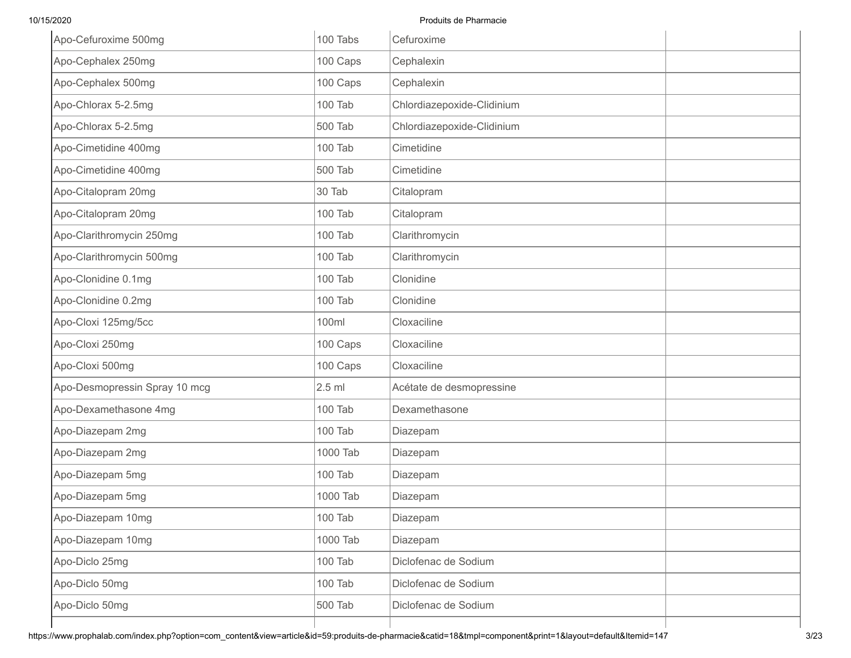| Apo-Cefuroxime 500mg          | 100 Tabs | Cefuroxime                 |  |
|-------------------------------|----------|----------------------------|--|
| Apo-Cephalex 250mg            | 100 Caps | Cephalexin                 |  |
| Apo-Cephalex 500mg            | 100 Caps | Cephalexin                 |  |
| Apo-Chlorax 5-2.5mg           | 100 Tab  | Chlordiazepoxide-Clidinium |  |
| Apo-Chlorax 5-2.5mg           | 500 Tab  | Chlordiazepoxide-Clidinium |  |
| Apo-Cimetidine 400mg          | 100 Tab  | Cimetidine                 |  |
| Apo-Cimetidine 400mg          | 500 Tab  | Cimetidine                 |  |
| Apo-Citalopram 20mg           | 30 Tab   | Citalopram                 |  |
| Apo-Citalopram 20mg           | 100 Tab  | Citalopram                 |  |
| Apo-Clarithromycin 250mg      | 100 Tab  | Clarithromycin             |  |
| Apo-Clarithromycin 500mg      | 100 Tab  | Clarithromycin             |  |
| Apo-Clonidine 0.1mg           | 100 Tab  | Clonidine                  |  |
| Apo-Clonidine 0.2mg           | 100 Tab  | Clonidine                  |  |
| Apo-Cloxi 125mg/5cc           | 100ml    | Cloxaciline                |  |
| Apo-Cloxi 250mg               | 100 Caps | Cloxaciline                |  |
| Apo-Cloxi 500mg               | 100 Caps | Cloxaciline                |  |
| Apo-Desmopressin Spray 10 mcg | $2.5$ ml | Acétate de desmopressine   |  |
| Apo-Dexamethasone 4mg         | 100 Tab  | Dexamethasone              |  |
| Apo-Diazepam 2mg              | 100 Tab  | Diazepam                   |  |
| Apo-Diazepam 2mg              | 1000 Tab | Diazepam                   |  |
| Apo-Diazepam 5mg              | 100 Tab  | Diazepam                   |  |
| Apo-Diazepam 5mg              | 1000 Tab | Diazepam                   |  |
| Apo-Diazepam 10mg             | 100 Tab  | Diazepam                   |  |
| Apo-Diazepam 10mg             | 1000 Tab | Diazepam                   |  |
| Apo-Diclo 25mg                | 100 Tab  | Diclofenac de Sodium       |  |
| Apo-Diclo 50mg                | 100 Tab  | Diclofenac de Sodium       |  |
| Apo-Diclo 50mg                | 500 Tab  | Diclofenac de Sodium       |  |
|                               |          |                            |  |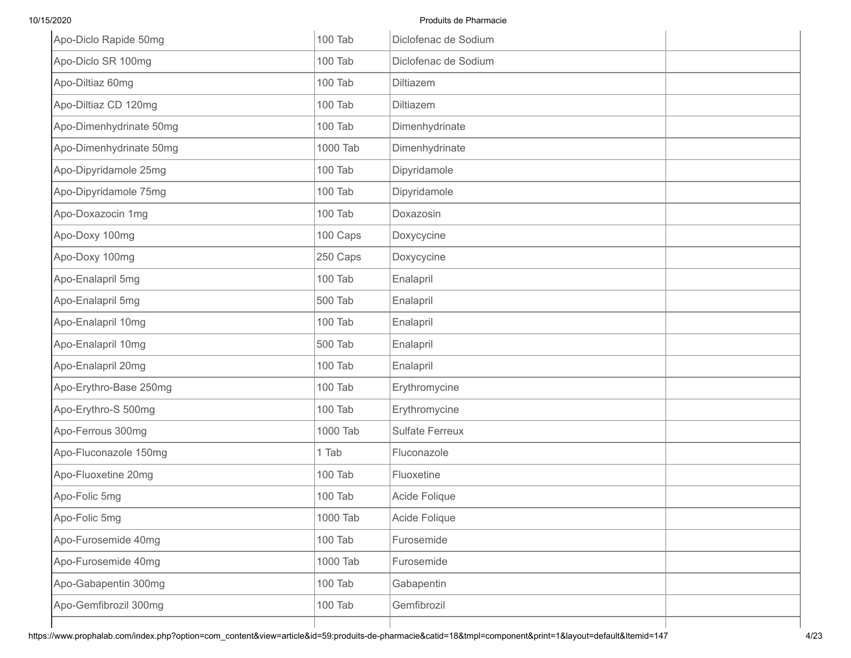| Apo-Diclo Rapide 50mg   | 100 Tab  | Diclofenac de Sodium   |  |
|-------------------------|----------|------------------------|--|
| Apo-Diclo SR 100mg      | 100 Tab  | Diclofenac de Sodium   |  |
| Apo-Diltiaz 60mg        | 100 Tab  | <b>Diltiazem</b>       |  |
| Apo-Diltiaz CD 120mg    | 100 Tab  | <b>Diltiazem</b>       |  |
| Apo-Dimenhydrinate 50mg | 100 Tab  | Dimenhydrinate         |  |
| Apo-Dimenhydrinate 50mg | 1000 Tab | Dimenhydrinate         |  |
| Apo-Dipyridamole 25mg   | 100 Tab  | Dipyridamole           |  |
| Apo-Dipyridamole 75mg   | 100 Tab  | Dipyridamole           |  |
| Apo-Doxazocin 1mg       | 100 Tab  | Doxazosin              |  |
| Apo-Doxy 100mg          | 100 Caps | Doxycycine             |  |
| Apo-Doxy 100mg          | 250 Caps | Doxycycine             |  |
| Apo-Enalapril 5mg       | 100 Tab  | Enalapril              |  |
| Apo-Enalapril 5mg       | 500 Tab  | Enalapril              |  |
| Apo-Enalapril 10mg      | 100 Tab  | Enalapril              |  |
| Apo-Enalapril 10mg      | 500 Tab  | Enalapril              |  |
| Apo-Enalapril 20mg      | 100 Tab  | Enalapril              |  |
| Apo-Erythro-Base 250mg  | 100 Tab  | Erythromycine          |  |
| Apo-Erythro-S 500mg     | 100 Tab  | Erythromycine          |  |
| Apo-Ferrous 300mg       | 1000 Tab | <b>Sulfate Ferreux</b> |  |
| Apo-Fluconazole 150mg   | 1 Tab    | Fluconazole            |  |
| Apo-Fluoxetine 20mg     | 100 Tab  | Fluoxetine             |  |
| Apo-Folic 5mg           | 100 Tab  | Acide Folique          |  |
| Apo-Folic 5mg           | 1000 Tab | Acide Folique          |  |
| Apo-Furosemide 40mg     | 100 Tab  | Furosemide             |  |
| Apo-Furosemide 40mg     | 1000 Tab | Furosemide             |  |
| Apo-Gabapentin 300mg    | 100 Tab  | Gabapentin             |  |
| Apo-Gemfibrozil 300mg   | 100 Tab  | Gemfibrozil            |  |
|                         |          |                        |  |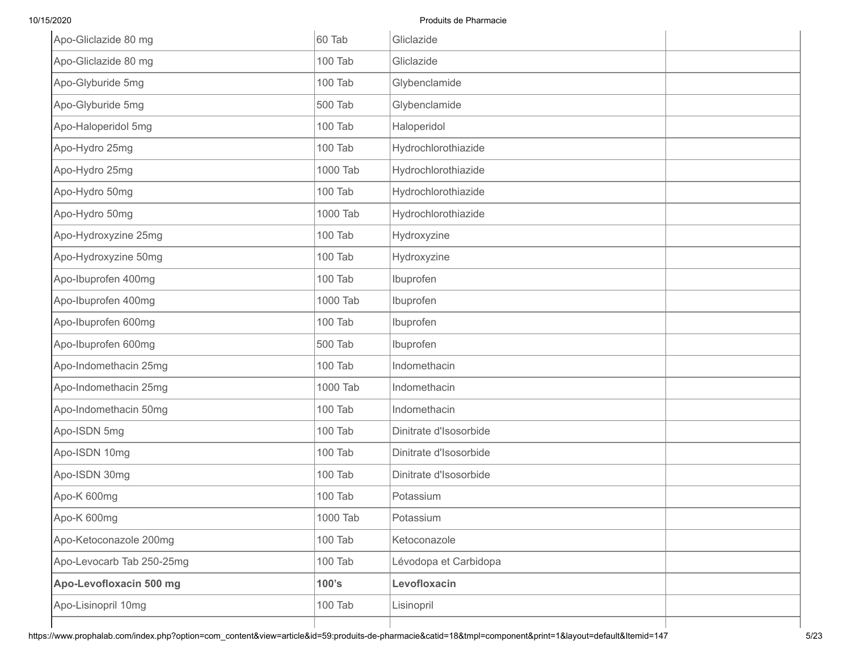| Apo-Gliclazide 80 mg      | 60 Tab   | Gliclazide             |  |
|---------------------------|----------|------------------------|--|
| Apo-Gliclazide 80 mg      | 100 Tab  | Gliclazide             |  |
| Apo-Glyburide 5mg         | 100 Tab  | Glybenclamide          |  |
| Apo-Glyburide 5mg         | 500 Tab  | Glybenclamide          |  |
| Apo-Haloperidol 5mg       | 100 Tab  | Haloperidol            |  |
| Apo-Hydro 25mg            | 100 Tab  | Hydrochlorothiazide    |  |
| Apo-Hydro 25mg            | 1000 Tab | Hydrochlorothiazide    |  |
| Apo-Hydro 50mg            | 100 Tab  | Hydrochlorothiazide    |  |
| Apo-Hydro 50mg            | 1000 Tab | Hydrochlorothiazide    |  |
| Apo-Hydroxyzine 25mg      | 100 Tab  | Hydroxyzine            |  |
| Apo-Hydroxyzine 50mg      | 100 Tab  | Hydroxyzine            |  |
| Apo-Ibuprofen 400mg       | 100 Tab  | Ibuprofen              |  |
| Apo-Ibuprofen 400mg       | 1000 Tab | Ibuprofen              |  |
| Apo-Ibuprofen 600mg       | 100 Tab  | Ibuprofen              |  |
| Apo-Ibuprofen 600mg       | 500 Tab  | Ibuprofen              |  |
| Apo-Indomethacin 25mg     | 100 Tab  | Indomethacin           |  |
| Apo-Indomethacin 25mg     | 1000 Tab | Indomethacin           |  |
| Apo-Indomethacin 50mg     | 100 Tab  | Indomethacin           |  |
| Apo-ISDN 5mg              | 100 Tab  | Dinitrate d'Isosorbide |  |
| Apo-ISDN 10mg             | 100 Tab  | Dinitrate d'Isosorbide |  |
| Apo-ISDN 30mg             | 100 Tab  | Dinitrate d'Isosorbide |  |
| Apo-K 600mg               | 100 Tab  | Potassium              |  |
| Apo-K 600mg               | 1000 Tab | Potassium              |  |
| Apo-Ketoconazole 200mg    | 100 Tab  | Ketoconazole           |  |
| Apo-Levocarb Tab 250-25mg | 100 Tab  | Lévodopa et Carbidopa  |  |
| Apo-Levofloxacin 500 mg   | 100's    | Levofloxacin           |  |
| Apo-Lisinopril 10mg       | 100 Tab  | Lisinopril             |  |
|                           |          |                        |  |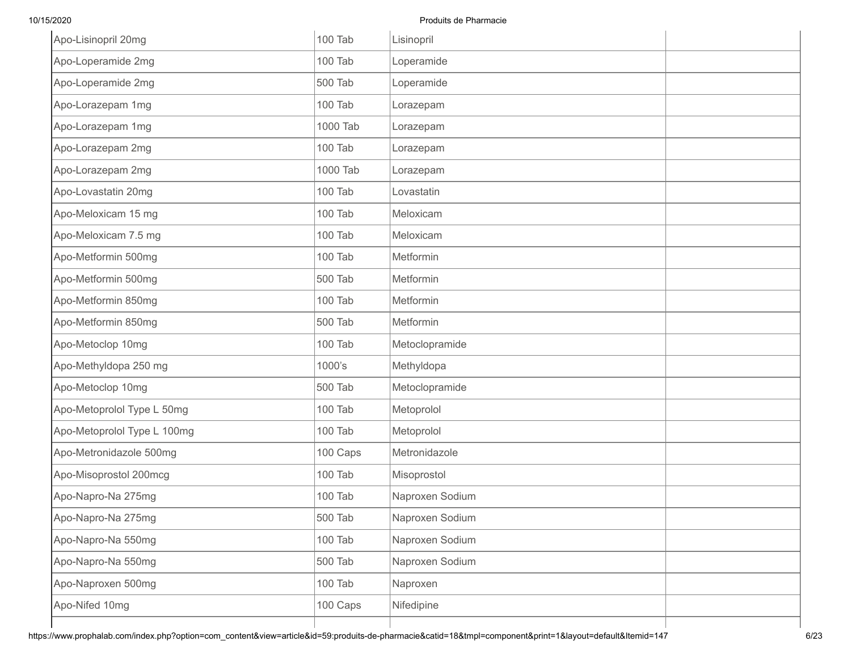| Apo-Lisinopril 20mg         | 100 Tab  | Lisinopril      |  |
|-----------------------------|----------|-----------------|--|
| Apo-Loperamide 2mg          | 100 Tab  | Loperamide      |  |
| Apo-Loperamide 2mg          | 500 Tab  | Loperamide      |  |
| Apo-Lorazepam 1mg           | 100 Tab  | Lorazepam       |  |
| Apo-Lorazepam 1mg           | 1000 Tab | Lorazepam       |  |
| Apo-Lorazepam 2mg           | 100 Tab  | Lorazepam       |  |
| Apo-Lorazepam 2mg           | 1000 Tab | Lorazepam       |  |
| Apo-Lovastatin 20mg         | 100 Tab  | Lovastatin      |  |
| Apo-Meloxicam 15 mg         | 100 Tab  | Meloxicam       |  |
| Apo-Meloxicam 7.5 mg        | 100 Tab  | Meloxicam       |  |
| Apo-Metformin 500mg         | 100 Tab  | Metformin       |  |
| Apo-Metformin 500mg         | 500 Tab  | Metformin       |  |
| Apo-Metformin 850mg         | 100 Tab  | Metformin       |  |
| Apo-Metformin 850mg         | 500 Tab  | Metformin       |  |
| Apo-Metoclop 10mg           | 100 Tab  | Metoclopramide  |  |
| Apo-Methyldopa 250 mg       | 1000's   | Methyldopa      |  |
| Apo-Metoclop 10mg           | 500 Tab  | Metoclopramide  |  |
| Apo-Metoprolol Type L 50mg  | 100 Tab  | Metoprolol      |  |
| Apo-Metoprolol Type L 100mg | 100 Tab  | Metoprolol      |  |
| Apo-Metronidazole 500mg     | 100 Caps | Metronidazole   |  |
| Apo-Misoprostol 200mcg      | 100 Tab  | Misoprostol     |  |
| Apo-Napro-Na 275mg          | 100 Tab  | Naproxen Sodium |  |
| Apo-Napro-Na 275mg          | 500 Tab  | Naproxen Sodium |  |
| Apo-Napro-Na 550mg          | 100 Tab  | Naproxen Sodium |  |
| Apo-Napro-Na 550mg          | 500 Tab  | Naproxen Sodium |  |
| Apo-Naproxen 500mg          | 100 Tab  | Naproxen        |  |
| Apo-Nifed 10mg              | 100 Caps | Nifedipine      |  |
|                             |          |                 |  |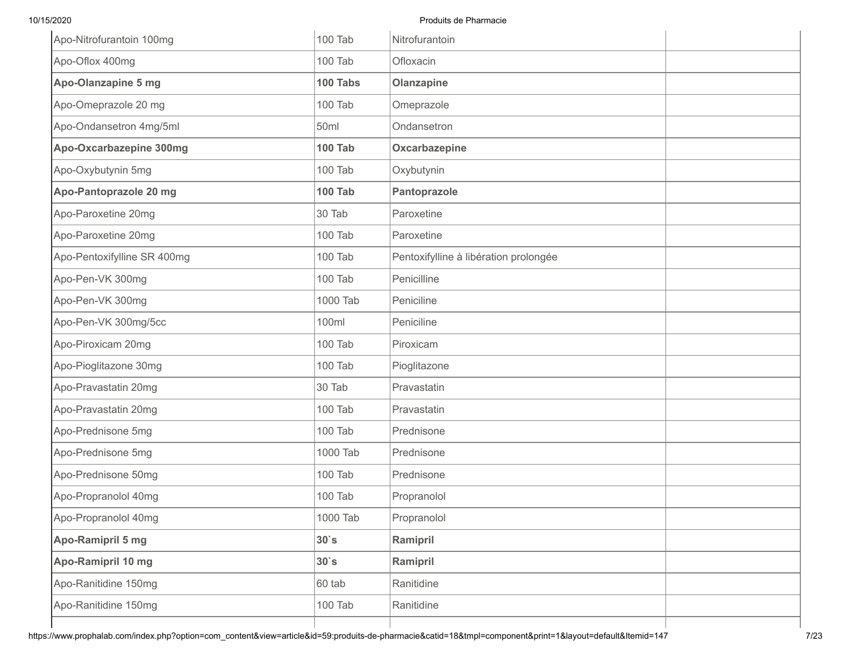| Apo-Nitrofurantoin 100mg    | 100 Tab        | Nitrofurantoin                        |  |
|-----------------------------|----------------|---------------------------------------|--|
| Apo-Oflox 400mg             | 100 Tab        | Ofloxacin                             |  |
| Apo-Olanzapine 5 mg         | 100 Tabs       | Olanzapine                            |  |
| Apo-Omeprazole 20 mg        | 100 Tab        | Omeprazole                            |  |
| Apo-Ondansetron 4mg/5ml     | 50ml           | Ondansetron                           |  |
| Apo-Oxcarbazepine 300mg     | <b>100 Tab</b> | Oxcarbazepine                         |  |
| Apo-Oxybutynin 5mg          | 100 Tab        | Oxybutynin                            |  |
| Apo-Pantoprazole 20 mg      | <b>100 Tab</b> | Pantoprazole                          |  |
| Apo-Paroxetine 20mg         | 30 Tab         | Paroxetine                            |  |
| Apo-Paroxetine 20mg         | 100 Tab        | Paroxetine                            |  |
| Apo-Pentoxifylline SR 400mg | 100 Tab        | Pentoxifylline à libération prolongée |  |
| Apo-Pen-VK 300mg            | 100 Tab        | Penicilline                           |  |
| Apo-Pen-VK 300mg            | 1000 Tab       | Peniciline                            |  |
| Apo-Pen-VK 300mg/5cc        | 100ml          | Peniciline                            |  |
| Apo-Piroxicam 20mg          | 100 Tab        | Piroxicam                             |  |
| Apo-Pioglitazone 30mg       | 100 Tab        | Pioglitazone                          |  |
| Apo-Pravastatin 20mg        | 30 Tab         | Pravastatin                           |  |
| Apo-Pravastatin 20mg        | 100 Tab        | Pravastatin                           |  |
| Apo-Prednisone 5mg          | 100 Tab        | Prednisone                            |  |
| Apo-Prednisone 5mg          | 1000 Tab       | Prednisone                            |  |
| Apo-Prednisone 50mg         | 100 Tab        | Prednisone                            |  |
| Apo-Propranolol 40mg        | 100 Tab        | Propranolol                           |  |
| Apo-Propranolol 40mg        | 1000 Tab       | Propranolol                           |  |
| Apo-Ramipril 5 mg           | $30$ `s        | Ramipril                              |  |
| Apo-Ramipril 10 mg          | $30$ `s        | Ramipril                              |  |
| Apo-Ranitidine 150mg        | 60 tab         | Ranitidine                            |  |
| Apo-Ranitidine 150mg        | 100 Tab        | Ranitidine                            |  |
|                             |                |                                       |  |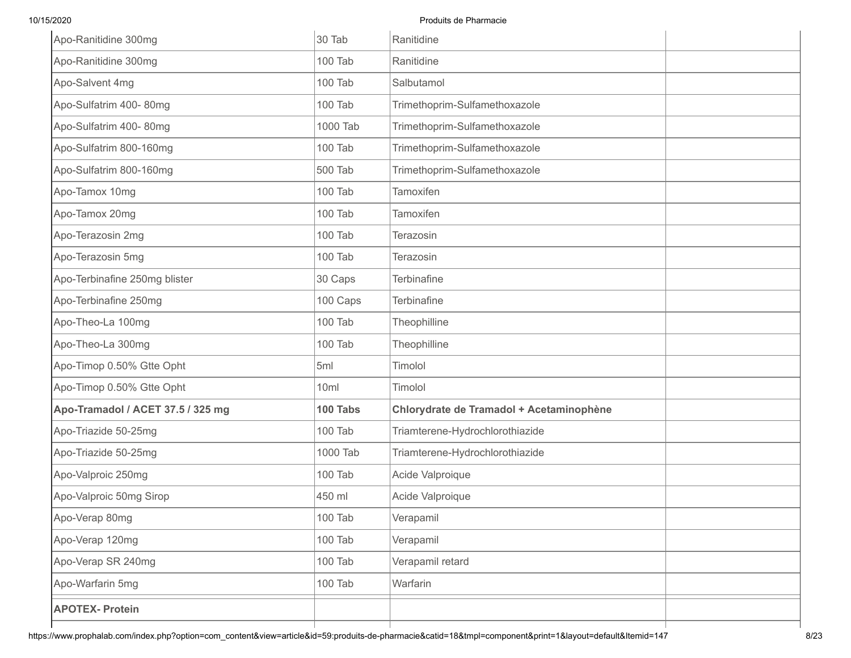| Apo-Ranitidine 300mg              | 30 Tab   | Ranitidine                               |  |
|-----------------------------------|----------|------------------------------------------|--|
| Apo-Ranitidine 300mg              | 100 Tab  | Ranitidine                               |  |
| Apo-Salvent 4mg                   | 100 Tab  | Salbutamol                               |  |
| Apo-Sulfatrim 400-80mg            | 100 Tab  | Trimethoprim-Sulfamethoxazole            |  |
| Apo-Sulfatrim 400-80mg            | 1000 Tab | Trimethoprim-Sulfamethoxazole            |  |
| Apo-Sulfatrim 800-160mg           | 100 Tab  | Trimethoprim-Sulfamethoxazole            |  |
| Apo-Sulfatrim 800-160mg           | 500 Tab  | Trimethoprim-Sulfamethoxazole            |  |
| Apo-Tamox 10mg                    | 100 Tab  | Tamoxifen                                |  |
| Apo-Tamox 20mg                    | 100 Tab  | Tamoxifen                                |  |
| Apo-Terazosin 2mg                 | 100 Tab  | Terazosin                                |  |
| Apo-Terazosin 5mg                 | 100 Tab  | Terazosin                                |  |
| Apo-Terbinafine 250mg blister     | 30 Caps  | Terbinafine                              |  |
| Apo-Terbinafine 250mg             | 100 Caps | Terbinafine                              |  |
| Apo-Theo-La 100mg                 | 100 Tab  | Theophilline                             |  |
| Apo-Theo-La 300mg                 | 100 Tab  | Theophilline                             |  |
| Apo-Timop 0.50% Gtte Opht         | 5ml      | Timolol                                  |  |
| Apo-Timop 0.50% Gtte Opht         | 10ml     | Timolol                                  |  |
| Apo-Tramadol / ACET 37.5 / 325 mg | 100 Tabs | Chlorydrate de Tramadol + Acetaminophène |  |
| Apo-Triazide 50-25mg              | 100 Tab  | Triamterene-Hydrochlorothiazide          |  |
| Apo-Triazide 50-25mg              | 1000 Tab | Triamterene-Hydrochlorothiazide          |  |
| Apo-Valproic 250mg                | 100 Tab  | Acide Valproique                         |  |
| Apo-Valproic 50mg Sirop           | 450 ml   | Acide Valproique                         |  |
| Apo-Verap 80mg                    | 100 Tab  | Verapamil                                |  |
| Apo-Verap 120mg                   | 100 Tab  | Verapamil                                |  |
| Apo-Verap SR 240mg                | 100 Tab  | Verapamil retard                         |  |
| Apo-Warfarin 5mg                  | 100 Tab  | Warfarin                                 |  |
| <b>APOTEX- Protein</b>            |          |                                          |  |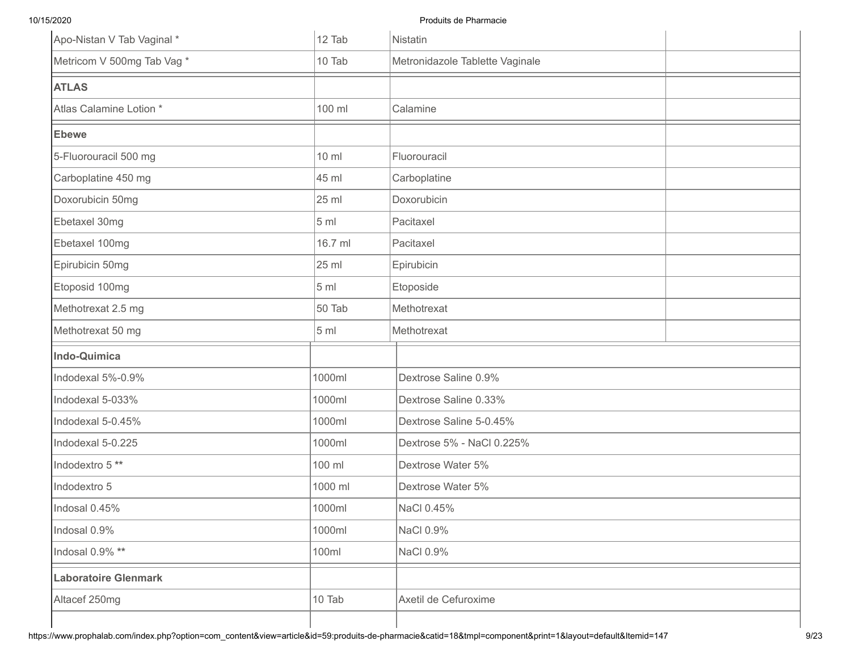| Apo-Nistan V Tab Vaginal *  | 12 Tab          | Nistatin                        |  |
|-----------------------------|-----------------|---------------------------------|--|
| Metricom V 500mg Tab Vag *  | 10 Tab          | Metronidazole Tablette Vaginale |  |
| <b>ATLAS</b>                |                 |                                 |  |
| Atlas Calamine Lotion *     | 100 ml          | Calamine                        |  |
| <b>Ebewe</b>                |                 |                                 |  |
| 5-Fluorouracil 500 mg       | $10 \mathrm{m}$ | Fluorouracil                    |  |
| Carboplatine 450 mg         | 45 ml           | Carboplatine                    |  |
| Doxorubicin 50mg            | 25 ml           | Doxorubicin                     |  |
| Ebetaxel 30mg               | 5 <sub>ml</sub> | Pacitaxel                       |  |
| Ebetaxel 100mg              | 16.7 ml         | Pacitaxel                       |  |
| Epirubicin 50mg             | 25 ml           | Epirubicin                      |  |
| Etoposid 100mg              | 5 <sub>ml</sub> | Etoposide                       |  |
| Methotrexat 2.5 mg          | 50 Tab          | Methotrexat                     |  |
| Methotrexat 50 mg           | 5 ml            | Methotrexat                     |  |
| <b>Indo-Quimica</b>         |                 |                                 |  |
| Indodexal 5%-0.9%           | 1000ml          | Dextrose Saline 0.9%            |  |
| Indodexal 5-033%            | 1000ml          | Dextrose Saline 0.33%           |  |
| Indodexal 5-0.45%           | 1000ml          | Dextrose Saline 5-0.45%         |  |
| Indodexal 5-0.225           | 1000ml          | Dextrose 5% - NaCl 0.225%       |  |
| Indodextro 5**              | 100 ml          | Dextrose Water 5%               |  |
| Indodextro 5                | 1000 ml         | Dextrose Water 5%               |  |
| Indosal 0.45%               | 1000ml          | NaCl 0.45%                      |  |
| Indosal 0.9%                | 1000ml          | NaCl 0.9%                       |  |
| Indosal 0.9% **             | 100ml           | NaCl 0.9%                       |  |
| <b>Laboratoire Glenmark</b> |                 |                                 |  |
| Altacef 250mg               | 10 Tab          | Axetil de Cefuroxime            |  |
|                             |                 |                                 |  |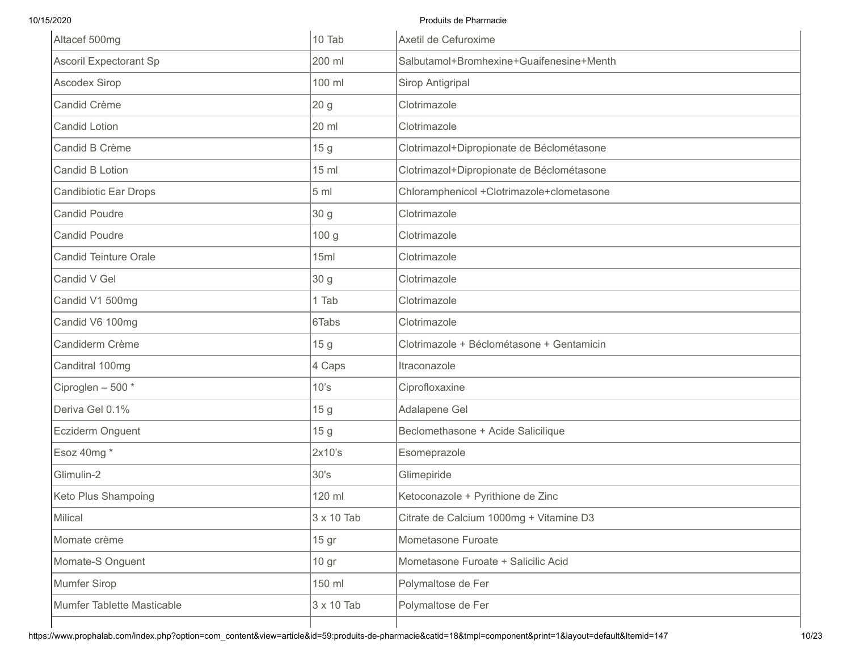| Altacef 500mg                 | 10 Tab            | Axetil de Cefuroxime                      |
|-------------------------------|-------------------|-------------------------------------------|
| <b>Ascoril Expectorant Sp</b> | 200 ml            | Salbutamol+Bromhexine+Guaifenesine+Menth  |
| <b>Ascodex Sirop</b>          | 100 ml            | Sirop Antigripal                          |
| Candid Crème                  | 20 <sub>g</sub>   | Clotrimazole                              |
| <b>Candid Lotion</b>          | 20 ml             | Clotrimazole                              |
| Candid B Crème                | 15 g              | Clotrimazol+Dipropionate de Béclométasone |
| <b>Candid B Lotion</b>        | $15$ ml           | Clotrimazol+Dipropionate de Béclométasone |
| <b>Candibiotic Ear Drops</b>  | 5 <sub>ml</sub>   | Chloramphenicol +Clotrimazole+clometasone |
| <b>Candid Poudre</b>          | 30 g              | Clotrimazole                              |
| <b>Candid Poudre</b>          | 100 g             | Clotrimazole                              |
| <b>Candid Teinture Orale</b>  | 15ml              | Clotrimazole                              |
| Candid V Gel                  | 30 g              | Clotrimazole                              |
| Candid V1 500mg               | 1 Tab             | Clotrimazole                              |
| Candid V6 100mg               | 6Tabs             | Clotrimazole                              |
| Candiderm Crème               | 15 <sub>g</sub>   | Clotrimazole + Béclométasone + Gentamicin |
| Canditral 100mg               | 4 Caps            | Itraconazole                              |
| Ciproglen - 500 *             | 10's              | Ciprofloxaxine                            |
| Deriva Gel 0.1%               | 15 <sub>g</sub>   | Adalapene Gel                             |
| Ecziderm Onguent              | 15 <sub>g</sub>   | Beclomethasone + Acide Salicilique        |
| Esoz 40mg *                   | 2x10's            | Esomeprazole                              |
| Glimulin-2                    | 30's              | Glimepiride                               |
| Keto Plus Shampoing           | 120 ml            | Ketoconazole + Pyrithione de Zinc         |
| Milical                       | $3 \times 10$ Tab | Citrate de Calcium 1000mg + Vitamine D3   |
| Momate crème                  | 15 gr             | Mometasone Furoate                        |
| Momate-S Onguent              | 10 gr             | Mometasone Furoate + Salicilic Acid       |
| <b>Mumfer Sirop</b>           | 150 ml            | Polymaltose de Fer                        |
| Mumfer Tablette Masticable    | $3 \times 10$ Tab | Polymaltose de Fer                        |
|                               |                   |                                           |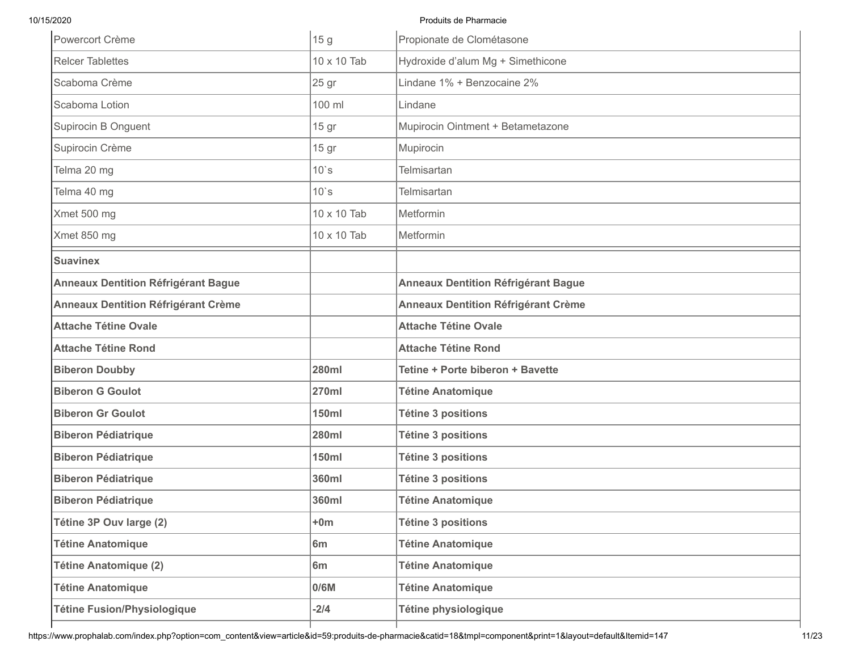| Powercort Crème                            | 15 <sub>g</sub> | Propionate de Clométasone                  |
|--------------------------------------------|-----------------|--------------------------------------------|
| <b>Relcer Tablettes</b>                    | 10 x 10 Tab     | Hydroxide d'alum Mg + Simethicone          |
| Scaboma Crème                              | 25 gr           | Lindane 1% + Benzocaine 2%                 |
| Scaboma Lotion                             | 100 ml          | Lindane                                    |
| Supirocin B Onguent                        | 15 gr           | Mupirocin Ointment + Betametazone          |
| Supirocin Crème                            | 15 gr           | Mupirocin                                  |
| Telma 20 mg                                | $10$ `s         | <b>Telmisartan</b>                         |
| Telma 40 mg                                | $10$ `s         | <b>Telmisartan</b>                         |
| Xmet 500 mg                                | 10 x 10 Tab     | Metformin                                  |
| Xmet 850 mg                                | 10 x 10 Tab     | Metformin                                  |
| <b>Suavinex</b>                            |                 |                                            |
| <b>Anneaux Dentition Réfrigérant Bague</b> |                 | <b>Anneaux Dentition Réfrigérant Bague</b> |
| <b>Anneaux Dentition Réfrigérant Crème</b> |                 | <b>Anneaux Dentition Réfrigérant Crème</b> |
| <b>Attache Tétine Ovale</b>                |                 | <b>Attache Tétine Ovale</b>                |
| <b>Attache Tétine Rond</b>                 |                 | <b>Attache Tétine Rond</b>                 |
| <b>Biberon Doubby</b>                      | <b>280ml</b>    | <b>Tetine + Porte biberon + Bavette</b>    |
| <b>Biberon G Goulot</b>                    | <b>270ml</b>    | <b>Tétine Anatomique</b>                   |
| <b>Biberon Gr Goulot</b>                   | <b>150ml</b>    | <b>Tétine 3 positions</b>                  |
| <b>Biberon Pédiatrique</b>                 | <b>280ml</b>    | <b>Tétine 3 positions</b>                  |
| <b>Biberon Pédiatrique</b>                 | <b>150ml</b>    | <b>Tétine 3 positions</b>                  |
| <b>Biberon Pédiatrique</b>                 | 360ml           | <b>Tétine 3 positions</b>                  |
| <b>Biberon Pédiatrique</b>                 | <b>360ml</b>    | <b>Tétine Anatomique</b>                   |
| Tétine 3P Ouv large (2)                    | $+0m$           | <b>Tétine 3 positions</b>                  |
| <b>Tétine Anatomique</b>                   | 6 <sub>m</sub>  | <b>Tétine Anatomique</b>                   |
| Tétine Anatomique (2)                      | 6m              | <b>Tétine Anatomique</b>                   |
| <b>Tétine Anatomique</b>                   | 0/6M            | <b>Tétine Anatomique</b>                   |
| <b>Tétine Fusion/Physiologique</b>         | $-2/4$          | Tétine physiologique                       |
|                                            |                 |                                            |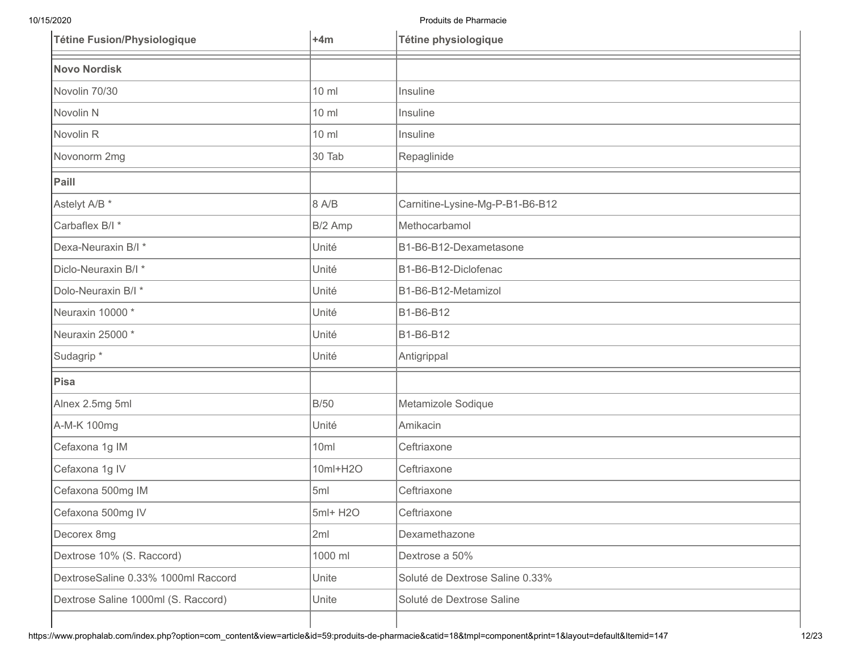| <b>Tétine Fusion/Physiologique</b>  | $+4m$    | Tétine physiologique            |
|-------------------------------------|----------|---------------------------------|
| <b>Novo Nordisk</b>                 |          |                                 |
| Novolin 70/30                       | 10 ml    | Insuline                        |
| Novolin N                           | 10 ml    | Insuline                        |
| Novolin <sub>R</sub>                | 10 ml    | Insuline                        |
| Novonorm 2mg                        | 30 Tab   | Repaglinide                     |
| Paill                               |          |                                 |
| Astelyt A/B <sup>*</sup>            | 8 A/B    | Carnitine-Lysine-Mg-P-B1-B6-B12 |
| Carbaflex B/I *                     | B/2 Amp  | Methocarbamol                   |
| Dexa-Neuraxin B/I *                 | Unité    | B1-B6-B12-Dexametasone          |
| Diclo-Neuraxin B/I *                | Unité    | B1-B6-B12-Diclofenac            |
| Dolo-Neuraxin B/I *                 | Unité    | B1-B6-B12-Metamizol             |
| Neuraxin 10000*                     | Unité    | B1-B6-B12                       |
| Neuraxin 25000*                     | Unité    | B1-B6-B12                       |
| Sudagrip*                           | Unité    | Antigrippal                     |
| <b>Pisa</b>                         |          |                                 |
| Alnex 2.5mg 5ml                     | B/50     | Metamizole Sodique              |
| A-M-K 100mg                         | Unité    | Amikacin                        |
| Cefaxona 1g IM                      | 10ml     | Ceftriaxone                     |
| Cefaxona 1g IV                      | 10ml+H2O | Ceftriaxone                     |
| Cefaxona 500mg IM                   | 5ml      | Ceftriaxone                     |
| Cefaxona 500mg IV                   | 5ml+ H2O | Ceftriaxone                     |
| Decorex 8mg                         | 2ml      | Dexamethazone                   |
| Dextrose 10% (S. Raccord)           | 1000 ml  | Dextrose a 50%                  |
| DextroseSaline 0.33% 1000ml Raccord | Unite    | Soluté de Dextrose Saline 0.33% |
| Dextrose Saline 1000ml (S. Raccord) | Unite    | Soluté de Dextrose Saline       |
|                                     |          |                                 |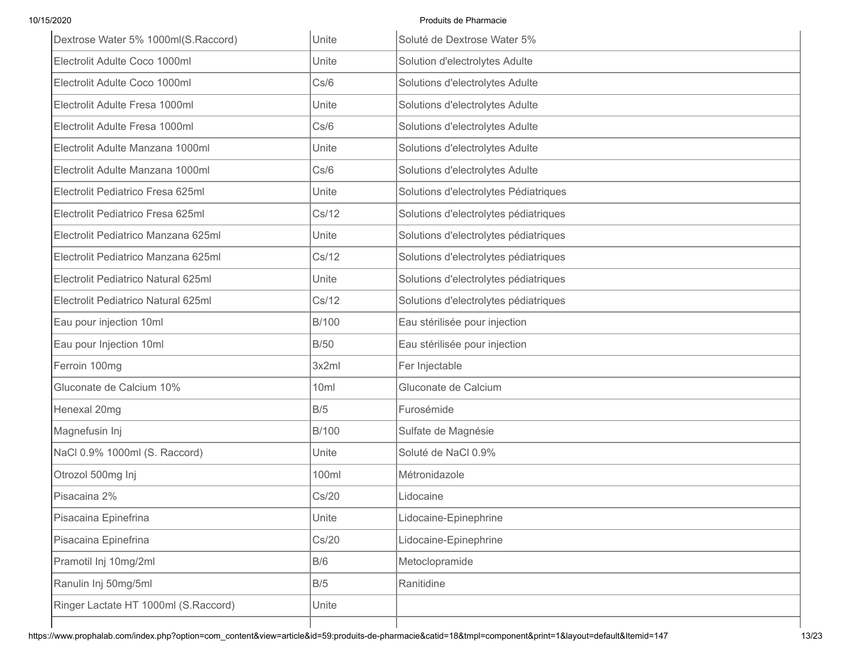| Dextrose Water 5% 1000ml(S.Raccord)  | Unite        | Soluté de Dextrose Water 5%           |
|--------------------------------------|--------------|---------------------------------------|
| Electrolit Adulte Coco 1000ml        | Unite        | Solution d'electrolytes Adulte        |
| Electrolit Adulte Coco 1000ml        | Cs/6         | Solutions d'electrolytes Adulte       |
| Electrolit Adulte Fresa 1000ml       | Unite        | Solutions d'electrolytes Adulte       |
| Electrolit Adulte Fresa 1000ml       | Cs/6         | Solutions d'electrolytes Adulte       |
| Electrolit Adulte Manzana 1000ml     | Unite        | Solutions d'electrolytes Adulte       |
| Electrolit Adulte Manzana 1000ml     | Cs/6         | Solutions d'electrolytes Adulte       |
| Electrolit Pediatrico Fresa 625ml    | Unite        | Solutions d'electrolytes Pédiatriques |
| Electrolit Pediatrico Fresa 625ml    | Cs/12        | Solutions d'electrolytes pédiatriques |
| Electrolit Pediatrico Manzana 625ml  | Unite        | Solutions d'electrolytes pédiatriques |
| Electrolit Pediatrico Manzana 625ml  | Cs/12        | Solutions d'electrolytes pédiatriques |
| Electrolit Pediatrico Natural 625ml  | Unite        | Solutions d'electrolytes pédiatriques |
| Electrolit Pediatrico Natural 625ml  | Cs/12        | Solutions d'electrolytes pédiatriques |
| Eau pour injection 10ml              | <b>B/100</b> | Eau stérilisée pour injection         |
| Eau pour Injection 10ml              | B/50         | Eau stérilisée pour injection         |
| Ferroin 100mg                        | 3x2ml        | Fer Injectable                        |
| Gluconate de Calcium 10%             | 10ml         | Gluconate de Calcium                  |
| Henexal 20mg                         | B/5          | Furosémide                            |
| Magnefusin Inj                       | <b>B/100</b> | Sulfate de Magnésie                   |
| NaCl 0.9% 1000ml (S. Raccord)        | Unite        | Soluté de NaCl 0.9%                   |
| Otrozol 500mg Inj                    | 100ml        | Métronidazole                         |
| Pisacaina 2%                         | Cs/20        | Lidocaine                             |
| Pisacaina Epinefrina                 | Unite        | Lidocaine-Epinephrine                 |
| Pisacaina Epinefrina                 | Cs/20        | Lidocaine-Epinephrine                 |
| Pramotil Inj 10mg/2ml                | B/6          | Metoclopramide                        |
| Ranulin Inj 50mg/5ml                 | B/5          | Ranitidine                            |
| Ringer Lactate HT 1000ml (S.Raccord) | Unite        |                                       |
|                                      |              |                                       |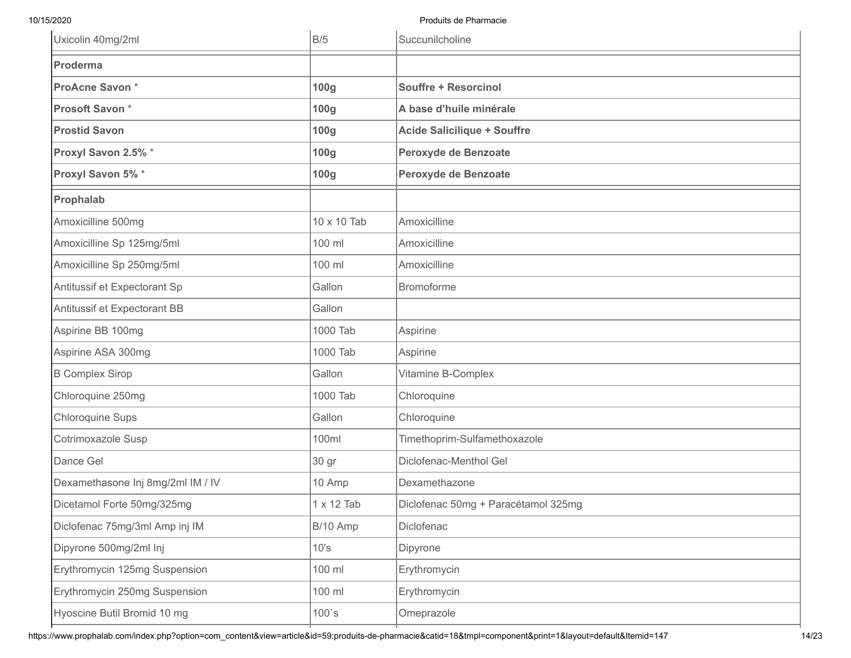| Uxicolin 40mg/2ml                 | B/5              | Succunilcholine                     |
|-----------------------------------|------------------|-------------------------------------|
| Proderma                          |                  |                                     |
| ProAcne Savon*                    | 100 <sub>g</sub> | <b>Souffre + Resorcinol</b>         |
| Prosoft Savon*                    | 100g             | A base d'huile minérale             |
| <b>Prostid Savon</b>              | 100g             | <b>Acide Salicilique + Souffre</b>  |
| Proxyl Savon 2.5% *               | 100g             | Peroxyde de Benzoate                |
| Proxyl Savon 5% *                 | 100g             | Peroxyde de Benzoate                |
| Prophalab                         |                  |                                     |
| Amoxicilline 500mg                | 10 x 10 Tab      | Amoxicilline                        |
| Amoxicilline Sp 125mg/5ml         | 100 ml           | Amoxicilline                        |
| Amoxicilline Sp 250mg/5ml         | 100 ml           | Amoxicilline                        |
| Antitussif et Expectorant Sp      | Gallon           | <b>Bromoforme</b>                   |
| Antitussif et Expectorant BB      | Gallon           |                                     |
| Aspirine BB 100mg                 | 1000 Tab         | Aspirine                            |
| Aspirine ASA 300mg                | 1000 Tab         | Aspirine                            |
| <b>B Complex Sirop</b>            | Gallon           | Vitamine B-Complex                  |
| Chloroquine 250mg                 | 1000 Tab         | Chloroquine                         |
| <b>Chloroquine Sups</b>           | Gallon           | Chloroquine                         |
| Cotrimoxazole Susp                | 100ml            | Timethoprim-Sulfamethoxazole        |
| Dance Gel                         | 30 gr            | Diclofenac-Menthol Gel              |
| Dexamethasone Inj 8mg/2ml IM / IV | 10 Amp           | Dexamethazone                       |
| Dicetamol Forte 50mg/325mg        | 1 x 12 Tab       | Diclofenac 50mg + Paracétamol 325mg |
| Diclofenac 75mg/3ml Amp inj IM    | B/10 Amp         | Diclofenac                          |
| Dipyrone 500mg/2ml Inj            | 10's             | Dipyrone                            |
| Erythromycin 125mg Suspension     | 100 ml           | Erythromycin                        |
| Erythromycin 250mg Suspension     | 100 ml           | Erythromycin                        |
| Hyoscine Butil Bromid 10 mg       | $100$ `s         | Omeprazole                          |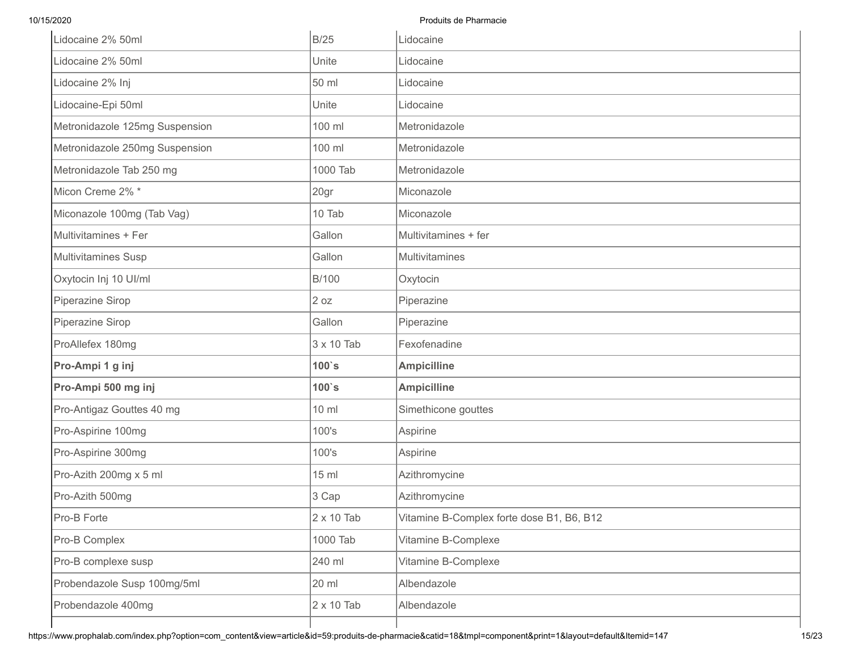| Lidocaine 2% 50ml              | B/25              | Lidocaine                                 |
|--------------------------------|-------------------|-------------------------------------------|
| Lidocaine 2% 50ml              | Unite             | Lidocaine                                 |
| Lidocaine 2% Inj               | 50 ml             | Lidocaine                                 |
| Lidocaine-Epi 50ml             | Unite             | Lidocaine                                 |
| Metronidazole 125mg Suspension | 100 ml            | Metronidazole                             |
| Metronidazole 250mg Suspension | 100 ml            | Metronidazole                             |
| Metronidazole Tab 250 mg       | 1000 Tab          | Metronidazole                             |
| Micon Creme 2% *               | 20gr              | Miconazole                                |
| Miconazole 100mg (Tab Vag)     | 10 Tab            | Miconazole                                |
| Multivitamines + Fer           | Gallon            | Multivitamines + fer                      |
| Multivitamines Susp            | Gallon            | Multivitamines                            |
| Oxytocin Inj 10 UI/ml          | B/100             | Oxytocin                                  |
| Piperazine Sirop               | 2 oz              | Piperazine                                |
| Piperazine Sirop               | Gallon            | Piperazine                                |
| ProAllefex 180mg               | 3 x 10 Tab        | Fexofenadine                              |
| Pro-Ampi 1 g inj               | $100$ `s          | <b>Ampicilline</b>                        |
| Pro-Ampi 500 mg inj            | $100$ `s          | <b>Ampicilline</b>                        |
| Pro-Antigaz Gouttes 40 mg      | 10 ml             | Simethicone gouttes                       |
| Pro-Aspirine 100mg             | 100's             | Aspirine                                  |
| Pro-Aspirine 300mg             | 100's             | Aspirine                                  |
| Pro-Azith 200mg x 5 ml         | 15 ml             | Azithromycine                             |
| Pro-Azith 500mg                | 3 Cap             | Azithromycine                             |
| Pro-B Forte                    | 2 x 10 Tab        | Vitamine B-Complex forte dose B1, B6, B12 |
| Pro-B Complex                  | 1000 Tab          | Vitamine B-Complexe                       |
| Pro-B complexe susp            | 240 ml            | Vitamine B-Complexe                       |
|                                |                   |                                           |
| Probendazole Susp 100mg/5ml    | 20 ml             | Albendazole                               |
| Probendazole 400mg             | $2 \times 10$ Tab | Albendazole                               |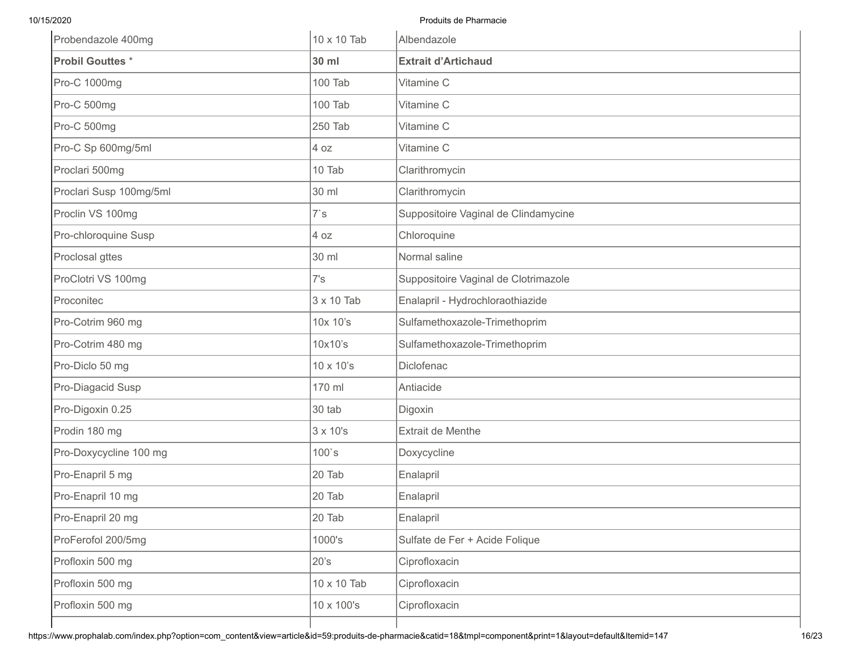| Probendazole 400mg      | 10 x 10 Tab | Albendazole                          |
|-------------------------|-------------|--------------------------------------|
| <b>Probil Gouttes *</b> | 30 ml       | <b>Extrait d'Artichaud</b>           |
| Pro-C 1000mg            | 100 Tab     | Vitamine C                           |
| Pro-C 500mg             | 100 Tab     | Vitamine C                           |
| Pro-C 500mg             | 250 Tab     | Vitamine C                           |
| Pro-C Sp 600mg/5ml      | 4 oz        | Vitamine C                           |
| Proclari 500mg          | 10 Tab      | Clarithromycin                       |
| Proclari Susp 100mg/5ml | 30 ml       | Clarithromycin                       |
| Proclin VS 100mg        | 7's         | Suppositoire Vaginal de Clindamycine |
| Pro-chloroquine Susp    | 4 oz        | Chloroquine                          |
| Proclosal gttes         | 30 ml       | Normal saline                        |
| ProClotri VS 100mg      | 7's         | Suppositoire Vaginal de Clotrimazole |
| Proconitec              | 3 x 10 Tab  | Enalapril - Hydrochloraothiazide     |
| Pro-Cotrim 960 mg       | 10x 10's    | Sulfamethoxazole-Trimethoprim        |
| Pro-Cotrim 480 mg       | 10x10's     | Sulfamethoxazole-Trimethoprim        |
| Pro-Diclo 50 mg         | 10 x 10's   | Diclofenac                           |
| Pro-Diagacid Susp       | 170 ml      | Antiacide                            |
| Pro-Digoxin 0.25        | 30 tab      | Digoxin                              |
| Prodin 180 mg           | 3 x 10's    | <b>Extrait de Menthe</b>             |
| Pro-Doxycycline 100 mg  | $100$ 's    | Doxycycline                          |
| Pro-Enapril 5 mg        | 20 Tab      | Enalapril                            |
| Pro-Enapril 10 mg       | 20 Tab      | Enalapril                            |
| Pro-Enapril 20 mg       | 20 Tab      | Enalapril                            |
| ProFerofol 200/5mg      | 1000's      | Sulfate de Fer + Acide Folique       |
| Profloxin 500 mg        | 20's        | Ciprofloxacin                        |
| Profloxin 500 mg        | 10 x 10 Tab | Ciprofloxacin                        |
| Profloxin 500 mg        | 10 x 100's  | Ciprofloxacin                        |
|                         |             |                                      |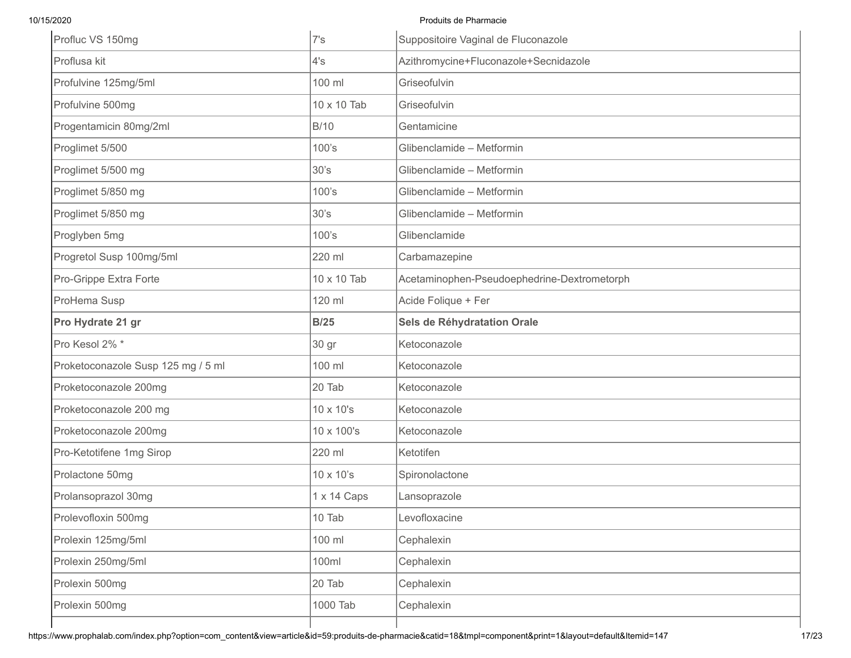| Profluc VS 150mg                   | 7's         | Suppositoire Vaginal de Fluconazole         |
|------------------------------------|-------------|---------------------------------------------|
| Proflusa kit                       | 4's         | Azithromycine+Fluconazole+Secnidazole       |
| Profulvine 125mg/5ml               | 100 ml      | Griseofulvin                                |
| Profulvine 500mg                   | 10 x 10 Tab | Griseofulvin                                |
| Progentamicin 80mg/2ml             | B/10        | Gentamicine                                 |
| Proglimet 5/500                    | 100's       | Glibenclamide - Metformin                   |
| Proglimet 5/500 mg                 | 30's        | Glibenclamide - Metformin                   |
| Proglimet 5/850 mg                 | 100's       | Glibenclamide - Metformin                   |
| Proglimet 5/850 mg                 | 30's        | Glibenclamide - Metformin                   |
| Proglyben 5mg                      | 100's       | Glibenclamide                               |
| Progretol Susp 100mg/5ml           | 220 ml      | Carbamazepine                               |
| Pro-Grippe Extra Forte             | 10 x 10 Tab | Acetaminophen-Pseudoephedrine-Dextrometorph |
| ProHema Susp                       | 120 ml      | Acide Folique + Fer                         |
| Pro Hydrate 21 gr                  | <b>B/25</b> | Sels de Réhydratation Orale                 |
| Pro Kesol 2% *                     | 30 gr       | Ketoconazole                                |
| Proketoconazole Susp 125 mg / 5 ml | 100 ml      | Ketoconazole                                |
| Proketoconazole 200mg              | 20 Tab      | Ketoconazole                                |
| Proketoconazole 200 mg             | 10 x 10's   | Ketoconazole                                |
| Proketoconazole 200mg              | 10 x 100's  | Ketoconazole                                |
| Pro-Ketotifene 1mg Sirop           | 220 ml      | Ketotifen                                   |
| Prolactone 50mg                    | 10 x 10's   | Spironolactone                              |
| Prolansoprazol 30mg                | 1 x 14 Caps | Lansoprazole                                |
| Prolevofloxin 500mg                | 10 Tab      | Levofloxacine                               |
| Prolexin 125mg/5ml                 | 100 ml      | Cephalexin                                  |
| Prolexin 250mg/5ml                 |             |                                             |
|                                    | 100ml       | Cephalexin                                  |
| Prolexin 500mg                     | 20 Tab      | Cephalexin                                  |
| Prolexin 500mg                     | 1000 Tab    | Cephalexin                                  |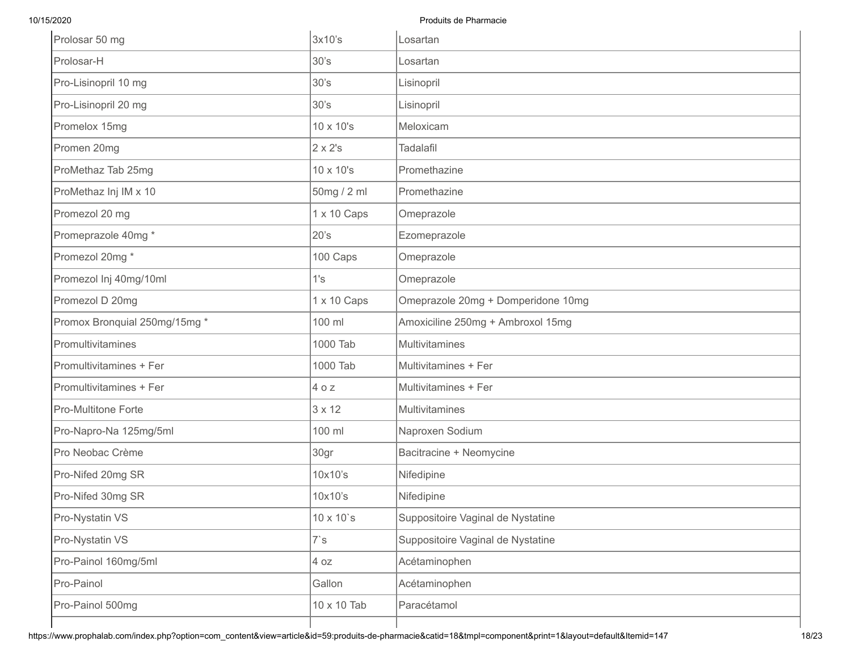| Prolosar 50 mg                | 3x10's            | Losartan                           |
|-------------------------------|-------------------|------------------------------------|
| Prolosar-H                    | 30's              | Losartan                           |
| Pro-Lisinopril 10 mg          | 30's              | Lisinopril                         |
| Pro-Lisinopril 20 mg          | 30's              | Lisinopril                         |
| Promelox 15mg                 | 10 x 10's         | Meloxicam                          |
| Promen 20mg                   | 2 x 2's           | <b>Tadalafil</b>                   |
| ProMethaz Tab 25mg            | 10 x 10's         | Promethazine                       |
| ProMethaz Inj IM x 10         | 50mg / 2 ml       | Promethazine                       |
| Promezol 20 mg                | 1 x 10 Caps       | Omeprazole                         |
| Promeprazole 40mg *           | 20's              | Ezomeprazole                       |
| Promezol 20mg *               | 100 Caps          | Omeprazole                         |
| Promezol Inj 40mg/10ml        | 1's               | Omeprazole                         |
| Promezol D 20mg               | 1 x 10 Caps       | Omeprazole 20mg + Domperidone 10mg |
| Promox Bronquial 250mg/15mg * | 100 ml            | Amoxiciline 250mg + Ambroxol 15mg  |
| Promultivitamines             | 1000 Tab          | <b>Multivitamines</b>              |
| Promultivitamines + Fer       | 1000 Tab          | Multivitamines + Fer               |
| Promultivitamines + Fer       | 40z               | Multivitamines + Fer               |
| <b>Pro-Multitone Forte</b>    | 3 x 12            | Multivitamines                     |
| Pro-Napro-Na 125mg/5ml        | 100 ml            | Naproxen Sodium                    |
| Pro Neobac Crème              | 30gr              | Bacitracine + Neomycine            |
| Pro-Nifed 20mg SR             | 10x10's           | Nifedipine                         |
| Pro-Nifed 30mg SR             | 10x10's           | Nifedipine                         |
| Pro-Nystatin VS               | $10 \times 10$ `s | Suppositoire Vaginal de Nystatine  |
| Pro-Nystatin VS               | $7\mathrm{s}$     | Suppositoire Vaginal de Nystatine  |
| Pro-Painol 160mg/5ml          | 4 oz              | Acétaminophen                      |
| Pro-Painol                    | Gallon            | Acétaminophen                      |
| Pro-Painol 500mg              | 10 x 10 Tab       | Paracétamol                        |
|                               |                   |                                    |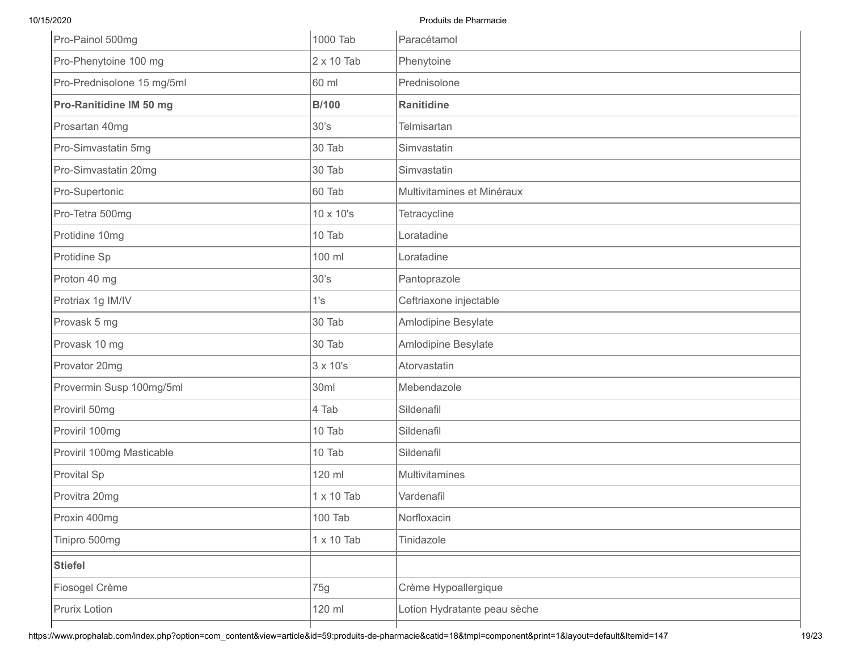| Pro-Painol 500mg           | 1000 Tab          | Paracétamol                  |
|----------------------------|-------------------|------------------------------|
| Pro-Phenytoine 100 mg      | $2 \times 10$ Tab | Phenytoine                   |
| Pro-Prednisolone 15 mg/5ml | 60 ml             | Prednisolone                 |
| Pro-Ranitidine IM 50 mg    | <b>B/100</b>      | Ranitidine                   |
| Prosartan 40mg             | 30's              | <b>Telmisartan</b>           |
| Pro-Simvastatin 5mg        | 30 Tab            | Simvastatin                  |
| Pro-Simvastatin 20mg       | 30 Tab            | Simvastatin                  |
| Pro-Supertonic             | 60 Tab            | Multivitamines et Minéraux   |
| Pro-Tetra 500mg            | 10 x 10's         | Tetracycline                 |
| Protidine 10mg             | 10 Tab            | Loratadine                   |
| Protidine Sp               | 100 ml            | Loratadine                   |
| Proton 40 mg               | 30's              | Pantoprazole                 |
| Protriax 1g IM/IV          | 1's               | Ceftriaxone injectable       |
| Provask 5 mg               | 30 Tab            | Amlodipine Besylate          |
| Provask 10 mg              | 30 Tab            | Amlodipine Besylate          |
| Provator 20mg              | 3 x 10's          | Atorvastatin                 |
| Provermin Susp 100mg/5ml   | 30ml              | Mebendazole                  |
| Proviril 50mg              | 4 Tab             | Sildenafil                   |
| Proviril 100mg             | 10 Tab            | Sildenafil                   |
| Proviril 100mg Masticable  | 10 Tab            | Sildenafil                   |
| Provital Sp                | 120 ml            | Multivitamines               |
| Provitra 20mg              | 1 x 10 Tab        | Vardenafil                   |
| Proxin 400mg               | 100 Tab           | Norfloxacin                  |
| Tinipro 500mg              | $1 \times 10$ Tab | Tinidazole                   |
| <b>Stiefel</b>             |                   |                              |
| Fiosogel Crème             | 75g               | Crème Hypoallergique         |
| Prurix Lotion              | 120 ml            | Lotion Hydratante peau sèche |
|                            |                   |                              |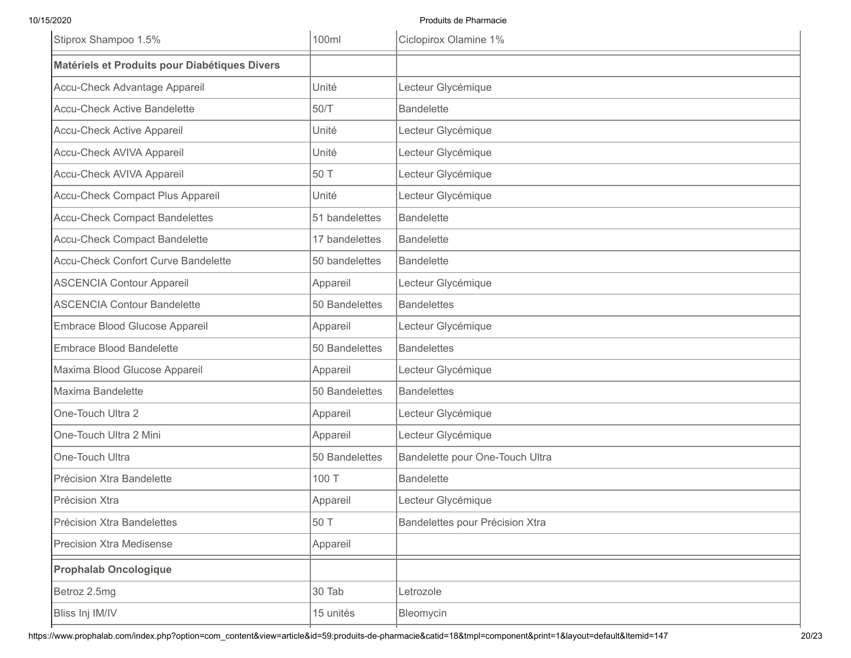| Stiprox Shampoo 1.5%                          | 100ml          | Ciclopirox Olamine 1%           |
|-----------------------------------------------|----------------|---------------------------------|
| Matériels et Produits pour Diabétiques Divers |                |                                 |
| Accu-Check Advantage Appareil                 | Unité          | Lecteur Glycémique              |
| <b>Accu-Check Active Bandelette</b>           | 50/T           | <b>Bandelette</b>               |
| Accu-Check Active Appareil                    | Unité          | Lecteur Glycémique              |
| Accu-Check AVIVA Appareil                     | Unité          | Lecteur Glycémique              |
| Accu-Check AVIVA Appareil                     | 50 T           | Lecteur Glycémique              |
| Accu-Check Compact Plus Appareil              | Unité          | Lecteur Glycémique              |
| <b>Accu-Check Compact Bandelettes</b>         | 51 bandelettes | <b>Bandelette</b>               |
| <b>Accu-Check Compact Bandelette</b>          | 17 bandelettes | <b>Bandelette</b>               |
| <b>Accu-Check Confort Curve Bandelette</b>    | 50 bandelettes | <b>Bandelette</b>               |
| <b>ASCENCIA Contour Appareil</b>              | Appareil       | Lecteur Glycémique              |
| <b>ASCENCIA Contour Bandelette</b>            | 50 Bandelettes | <b>Bandelettes</b>              |
| Embrace Blood Glucose Appareil                | Appareil       | Lecteur Glycémique              |
| <b>Embrace Blood Bandelette</b>               | 50 Bandelettes | <b>Bandelettes</b>              |
| Maxima Blood Glucose Appareil                 | Appareil       | Lecteur Glycémique              |
| Maxima Bandelette                             | 50 Bandelettes | <b>Bandelettes</b>              |
| One-Touch Ultra 2                             | Appareil       | Lecteur Glycémique              |
| One-Touch Ultra 2 Mini                        | Appareil       | Lecteur Glycémique              |
| One-Touch Ultra                               | 50 Bandelettes | Bandelette pour One-Touch Ultra |
| Précision Xtra Bandelette                     | 100 T          | <b>Bandelette</b>               |
| Précision Xtra                                | Appareil       | Lecteur Glycémique              |
| Précision Xtra Bandelettes                    | 50 T           | Bandelettes pour Précision Xtra |
| <b>Precision Xtra Medisense</b>               | Appareil       |                                 |
| <b>Prophalab Oncologique</b>                  |                |                                 |
| Betroz 2.5mg                                  | 30 Tab         | Letrozole                       |
| Bliss Inj IM/IV                               | 15 unités      | Bleomycin                       |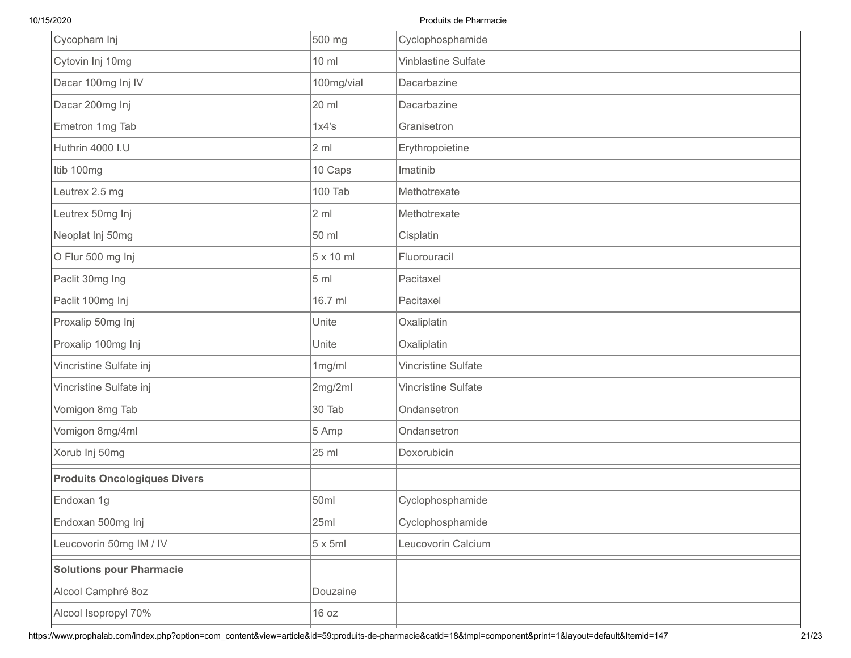| Cycopham Inj                        | 500 mg           | Cyclophosphamide           |
|-------------------------------------|------------------|----------------------------|
| Cytovin Inj 10mg                    | 10 ml            | <b>Vinblastine Sulfate</b> |
| Dacar 100mg Inj IV                  | 100mg/vial       | Dacarbazine                |
| Dacar 200mg Inj                     | 20 ml            | Dacarbazine                |
| Emetron 1mg Tab                     | 1x4's            | Granisetron                |
| Huthrin 4000 I.U                    | 2 <sub>m1</sub>  | Erythropoietine            |
| Itib 100mg                          | 10 Caps          | Imatinib                   |
| Leutrex 2.5 mg                      | 100 Tab          | Methotrexate               |
| Leutrex 50mg Inj                    | 2 <sub>m1</sub>  | Methotrexate               |
| Neoplat Inj 50mg                    | 50 ml            | Cisplatin                  |
| O Flur 500 mg Inj                   | $5 \times 10$ ml | Fluorouracil               |
| Paclit 30mg Ing                     | 5 <sub>ml</sub>  | Pacitaxel                  |
| Paclit 100mg Inj                    | 16.7 ml          | Pacitaxel                  |
| Proxalip 50mg Inj                   | Unite            | Oxaliplatin                |
| Proxalip 100mg Inj                  | Unite            | Oxaliplatin                |
| Vincristine Sulfate inj             | 1mg/ml           | Vincristine Sulfate        |
| Vincristine Sulfate inj             | 2mg/2ml          | Vincristine Sulfate        |
| Vomigon 8mg Tab                     | 30 Tab           | Ondansetron                |
| Vomigon 8mg/4ml                     | 5 Amp            | Ondansetron                |
| Xorub Inj 50mg                      | 25 ml            | Doxorubicin                |
| <b>Produits Oncologiques Divers</b> |                  |                            |
| Endoxan 1g                          | 50ml             | Cyclophosphamide           |
| Endoxan 500mg Inj                   | 25ml             | Cyclophosphamide           |
| Leucovorin 50mg IM / IV             | $5 \times 5ml$   | Leucovorin Calcium         |
| <b>Solutions pour Pharmacie</b>     |                  |                            |
| Alcool Camphré 8oz                  | Douzaine         |                            |
| Alcool Isopropyl 70%                | 16 oz            |                            |
|                                     |                  |                            |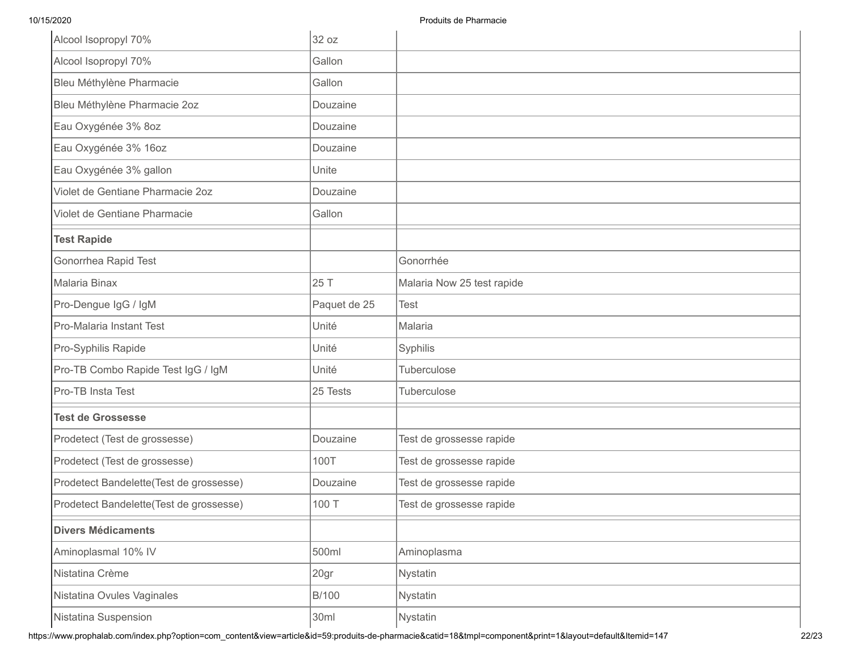| Alcool Isopropyl 70%                    | 32 oz        |                            |
|-----------------------------------------|--------------|----------------------------|
| Alcool Isopropyl 70%                    | Gallon       |                            |
| Bleu Méthylène Pharmacie                | Gallon       |                            |
| Bleu Méthylène Pharmacie 2oz            | Douzaine     |                            |
| Eau Oxygénée 3% 8oz                     | Douzaine     |                            |
| Eau Oxygénée 3% 16oz                    | Douzaine     |                            |
| Eau Oxygénée 3% gallon                  | Unite        |                            |
| Violet de Gentiane Pharmacie 2oz        | Douzaine     |                            |
| Violet de Gentiane Pharmacie            | Gallon       |                            |
| <b>Test Rapide</b>                      |              |                            |
| Gonorrhea Rapid Test                    |              | Gonorrhée                  |
| Malaria Binax                           | 25 T         | Malaria Now 25 test rapide |
| Pro-Dengue IgG / IgM                    | Paquet de 25 | <b>Test</b>                |
| Pro-Malaria Instant Test                | Unité        | Malaria                    |
| Pro-Syphilis Rapide                     | Unité        | Syphilis                   |
| Pro-TB Combo Rapide Test IgG / IgM      | Unité        | Tuberculose                |
| Pro-TB Insta Test                       | 25 Tests     | Tuberculose                |
| <b>Test de Grossesse</b>                |              |                            |
| Prodetect (Test de grossesse)           | Douzaine     | Test de grossesse rapide   |
| Prodetect (Test de grossesse)           | 100T         | Test de grossesse rapide   |
| Prodetect Bandelette(Test de grossesse) | Douzaine     | Test de grossesse rapide   |
| Prodetect Bandelette(Test de grossesse) | 100 T        | Test de grossesse rapide   |
| <b>Divers Médicaments</b>               |              |                            |
| Aminoplasmal 10% IV                     | 500ml        | Aminoplasma                |
| Nistatina Crème                         | 20gr         | Nystatin                   |
| Nistatina Ovules Vaginales              | <b>B/100</b> | Nystatin                   |
| Nistatina Suspension                    | 30ml         | Nystatin                   |